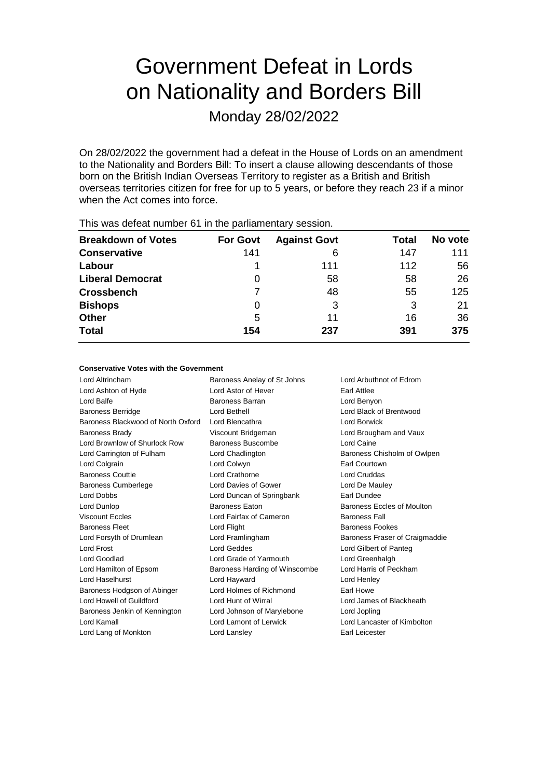# Government Defeat in Lords on Nationality and Borders Bill

Monday 28/02/2022

On 28/02/2022 the government had a defeat in the House of Lords on an amendment to the Nationality and Borders Bill: To insert a clause allowing descendants of those born on the British Indian Overseas Territory to register as a British and British overseas territories citizen for free for up to 5 years, or before they reach 23 if a minor when the Act comes into force.

| This was abloat harmon of the the parliamentary occolor. |                 |                     |       |         |  |  |  |  |
|----------------------------------------------------------|-----------------|---------------------|-------|---------|--|--|--|--|
| <b>Breakdown of Votes</b>                                | <b>For Govt</b> | <b>Against Govt</b> | Total | No vote |  |  |  |  |
| <b>Conservative</b>                                      | 141             | 6                   | 147   | 111     |  |  |  |  |
| Labour                                                   |                 | 111                 | 112   | 56      |  |  |  |  |
| <b>Liberal Democrat</b>                                  | 0               | 58                  | 58    | 26      |  |  |  |  |
| <b>Crossbench</b>                                        |                 | 48                  | 55    | 125     |  |  |  |  |
| <b>Bishops</b>                                           | O               | 3                   | 3     | 21      |  |  |  |  |
| <b>Other</b>                                             | 5               | 11                  | 16    | 36      |  |  |  |  |
| <b>Total</b>                                             | 154             | 237                 | 391   | 375     |  |  |  |  |
|                                                          |                 |                     |       |         |  |  |  |  |

This was defeat number 61 in the parliamentary session.

#### **Conservative Votes with the Government**

Lord Altrincham Baroness Anelay of St Johns Lord Arbuthnot of Edrom Lord Ashton of Hyde Lord Astor of Hever Earl Attlee Lord Balfe **Baroness Barran** Lord Benyon Baroness Berridge Lord Bethell Lord Black of Brentwood Baroness Blackwood of North Oxford Lord Blencathra **Lord Borwick** Baroness Brady **Example 2** Viscount Bridgeman **Lord Brougham and Vaux** Lord Brownlow of Shurlock Row Baroness Buscombe Lord Caine Lord Carrington of Fulham Lord Chadlington Baroness Chisholm of Owlpen Lord Colgrain Lord Colwyn Earl Courtown Baroness Couttie Lord Crathorne Lord Cruddas Baroness Cumberlege Lord Davies of Gower Lord De Mauley Lord Dobbs Lord Duncan of Springbank Earl Dundee Lord Dunlop Baroness Eaton Baroness Eccles of Moulton Viscount Eccles **Lord Fairfax of Cameron** Baroness Fall Baroness Fleet Lord Flight Baroness Fookes Lord Forsyth of Drumlean Lord Framlingham Baroness Fraser of Craigmaddie Lord Frost Lord Geddes Lord Gilbert of Panteg Lord Goodlad **Lord Grade of Yarmouth** Lord Greenhalgh Lord Hamilton of Epsom Baroness Harding of Winscombe Lord Harris of Peckham Lord Haselhurst Lord Hayward Lord Henley Baroness Hodgson of Abinger Lord Holmes of Richmond Earl Howe Lord Howell of Guildford Lord Hunt of Wirral Lord James of Blackheath Baroness Jenkin of Kennington Lord Johnson of Marylebone Lord Jopling Lord Kamall Lord Lamont of Lerwick Lord Lancaster of Kimbolton Lord Lang of Monkton **Lord Lansley Lord Langer Carl Leicester Earl Leicester**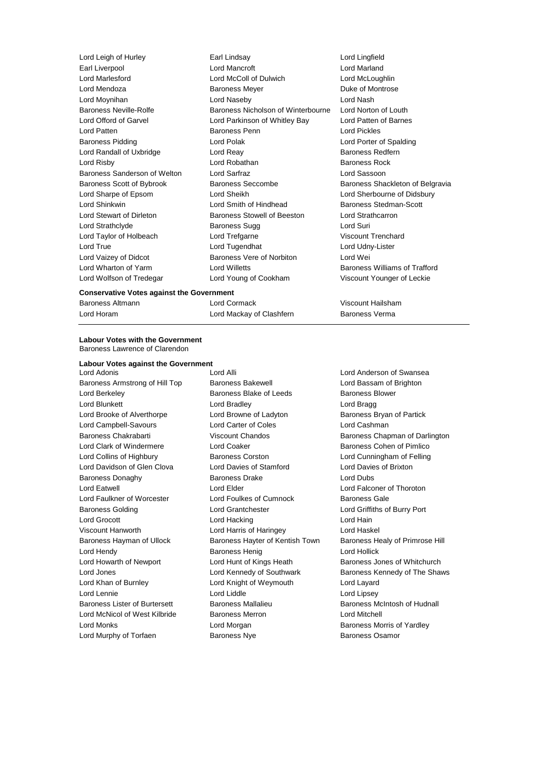Earl Liverpool **Earl Lord Mancroft** Lord Mancroft **Lord Mancroft** Cord Mancroft Cord Mancroft Cord Mancroft Cord Mancroft Cord Mancroft Cord Mancroft Cord Mancroft Cord Mancroft Cord Mancroft Cord Mancroft Cord Mancroft Co Lord Mendoza **Baroness Meyer Baroness Meyer Duke of Montrose** Lord Moynihan Lord Naseby Lord Nash Baroness Neville-Rolfe **Baroness Nicholson of Winterbourne** Lord Norton of Louth Lord Offord of Garvel Lord Parkinson of Whitley Bay Lord Patten of Barnes Lord Patten Baroness Penn Lord Pickles Baroness Pidding Lord Polak Lord Porter of Spalding Lord Randall of Uxbridge **Lord Reay** Lord Reay **Baroness Redfern** Lord Risby **Lord Robathan** Baroness Rock Baroness Sanderson of Welton Lord Sarfraz Lord Sassoon Baroness Scott of Bybrook Baroness Seccombe Baroness Shackleton of Belgravia Lord Sharpe of Epsom Lord Sheikh Lord Sherbourne of Didsbury Lord Shinkwin **Lord Smith of Hindhead** Baroness Stedman-Scott Lord Stewart of Dirleton Baroness Stowell of Beeston Lord Strathcarron Lord Strathclyde **Baroness Sugg Lord Suries** Lord Taylor of Holbeach Lord Trefgarne Viscount Trenchard Lord True Lord Tugendhat Lord Udny-Lister Lord Vaizey of Didcot Baroness Vere of Norbiton Lord Wei Lord Wharton of Yarm Lord Willetts Baroness Williams of Trafford Lord Wolfson of Tredegar Lord Young of Cookham Viscount Younger of Leckie

Lord Leigh of Hurley Earl Lindsay Lord Lingfield Lord McColl of Dulwich Lord McLoughlin

## **Conservative Votes against the Government**

Baroness Altmann Lord Cormack Viscount Hailsham Lord Horam Lord Mackay of Clashfern Baroness Verma

#### **Labour Votes with the Government** Baroness Lawrence of Clarendon

#### **Labour Votes against the Government**

Lord Adonis Lord Alli Lord Anderson of Swansea Baroness Armstrong of Hill Top Baroness Bakewell **Baroness Lord Bassam of Brighton** Lord Berkeley **Baroness Blake of Leeds** Baroness Blower Lord Blunkett Lord Bradley Lord Bragg Lord Brooke of Alverthorpe Lord Browne of Ladyton Baroness Bryan of Partick Lord Campbell-Savours Lord Carter of Coles Lord Cashman Baroness Chakrabarti **Viscount Chandos** Baroness Chapman of Darlington Lord Clark of Windermere **Lord Coaker Lord Coaker** Baroness Cohen of Pimlico Lord Collins of Highbury Baroness Corston Lord Cunningham of Felling Lord Davidson of Glen Clova Lord Davies of Stamford Lord Davies of Brixton Baroness Donaghy Baroness Drake Lord Dubs Lord Eatwell Lord Elder Lord Falconer of Thoroton Lord Faulkner of Worcester **Lord Foulkes of Cumnock** Baroness Gale Baroness Golding Lord Grantchester Lord Griffiths of Burry Port Lord Grocott **Lord Hacking** Lord Hacking Lord Hain Viscount Hanworth Lord Harris of Haringey Lord Haskel Baroness Hayman of Ullock Baroness Hayter of Kentish Town Baroness Healy of Primrose Hill Lord Hendy **Baroness Henig Constructs** Lord Hollick Lord Howarth of Newport **Lord Hunt of Kings Heath** Baroness Jones of Whitchurch Lord Jones Lord Kennedy of Southwark Baroness Kennedy of The Shaws Lord Khan of Burnley Lord Knight of Weymouth Lord Layard Lord Lennie Lord Liddle Lord Lipsey Baroness Lister of Burtersett Baroness Mallalieu Baroness McIntosh of Hudnall Lord McNicol of West Kilbride Baroness Merron Lord Mitchell Lord Monks **Lord Morgan** Lord Morgan **Baroness Morris of Yardley** Lord Murphy of Torfaen **Baroness Nye** Baroness Osamor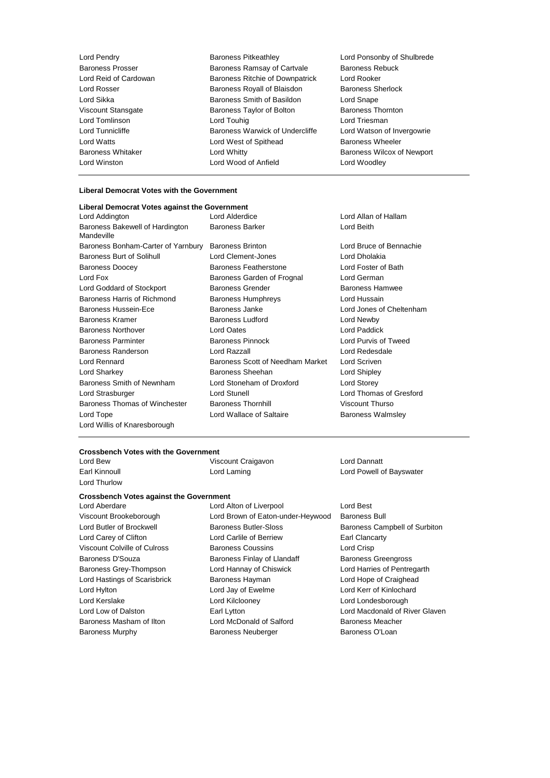| Lord Pendry             | <b>Baroness Pitkeathley</b>     | Lord Ponsonby of Shulbrede        |
|-------------------------|---------------------------------|-----------------------------------|
| <b>Baroness Prosser</b> | Baroness Ramsay of Cartvale     | <b>Baroness Rebuck</b>            |
| Lord Reid of Cardowan   | Baroness Ritchie of Downpatrick | Lord Rooker                       |
| Lord Rosser             | Baroness Royall of Blaisdon     | <b>Baroness Sherlock</b>          |
| Lord Sikka              | Baroness Smith of Basildon      | Lord Snape                        |
| Viscount Stansgate      | Baroness Taylor of Bolton       | <b>Baroness Thornton</b>          |
| Lord Tomlinson          | Lord Touhig                     | Lord Triesman                     |
| Lord Tunnicliffe        | Baroness Warwick of Undercliffe | Lord Watson of Invergowrie        |
| Lord Watts              | Lord West of Spithead           | <b>Baroness Wheeler</b>           |
| Baroness Whitaker       | Lord Whitty                     | <b>Baroness Wilcox of Newport</b> |
| Lord Winston            | Lord Wood of Anfield            | Lord Woodley                      |
|                         |                                 |                                   |

f Invergowrie ox of Newport

### **Liberal Democrat Votes with the Government**

| <b>Liberal Democrat Votes against the Government</b> |                                  |                          |
|------------------------------------------------------|----------------------------------|--------------------------|
| Lord Addington                                       | Lord Alderdice                   | Lord Allan of Hallam     |
| Baroness Bakewell of Hardington<br>Mandeville        | <b>Baroness Barker</b>           | Lord Beith               |
| Baroness Bonham-Carter of Yarnbury                   | <b>Baroness Brinton</b>          | Lord Bruce of Bennachie  |
| <b>Baroness Burt of Solihull</b>                     | Lord Clement-Jones               | Lord Dholakia            |
| <b>Baroness Doocey</b>                               | <b>Baroness Featherstone</b>     | Lord Foster of Bath      |
| Lord Fox                                             | Baroness Garden of Frognal       | Lord German              |
| Lord Goddard of Stockport                            | <b>Baroness Grender</b>          | Baroness Hamwee          |
| Baroness Harris of Richmond                          | <b>Baroness Humphreys</b>        | Lord Hussain             |
| <b>Baroness Hussein-Ece</b>                          | Baroness Janke                   | Lord Jones of Cheltenham |
| <b>Baroness Kramer</b>                               | Baroness Ludford                 | Lord Newby               |
| <b>Baroness Northover</b>                            | <b>Lord Oates</b>                | Lord Paddick             |
| <b>Baroness Parminter</b>                            | <b>Baroness Pinnock</b>          | Lord Purvis of Tweed     |
| Baroness Randerson                                   | Lord Razzall                     | Lord Redesdale           |
| Lord Rennard                                         | Baroness Scott of Needham Market | Lord Scriven             |
| Lord Sharkey                                         | Baroness Sheehan                 | Lord Shipley             |
| Baroness Smith of Newnham                            | Lord Stoneham of Droxford        | Lord Storey              |
| Lord Strasburger                                     | Lord Stunell                     | Lord Thomas of Gresford  |
| Baroness Thomas of Winchester                        | <b>Baroness Thornhill</b>        | <b>Viscount Thurso</b>   |
| Lord Tope                                            | Lord Wallace of Saltaire         | <b>Baroness Walmsley</b> |
| Lord Willis of Knaresborough                         |                                  |                          |

# **Crossbench Votes with the Government**

Lord Thurlow

Lord Bew Viscount Craigavon Lord Dannatt

# **Crossbench Votes against the Government**

Lord Alton of Liverpool Lord Best Viscount Brookeborough Lord Brown of Eaton-under-Heywood Baroness Bull Lord Butler of Brockwell Baroness Butler-Sloss Butler-Sloss Baroness Campbell of Surbiton Lord Carey of Clifton **Lord Carlile of Berriew** Earl Clancarty Viscount Colville of Culross Baroness Coussins Lord Crisp Baroness D'Souza **Baroness Finlay of Llandaff** Baroness Greengross Baroness Grey-Thompson Lord Hannay of Chiswick Lord Harries of Pentregarth Lord Hastings of Scarisbrick **Baroness Hayman** Lord Hope of Craighead Lord Hylton Lord Jay of Ewelme Lord Kerr of Kinlochard Lord Kerslake Lord Kilclooney Lord Londesborough Lord Low of Dalston **Earl Lytton** Earl Lytton **Lord Macdonald of River Glaven** Baroness Masham of Ilton **Lord McDonald of Salford** Baroness Meacher Baroness Murphy **Baroness Neuberger** Baroness O'Loan

Earl Kinnoull Lord Laming Lord Powell of Bayswater